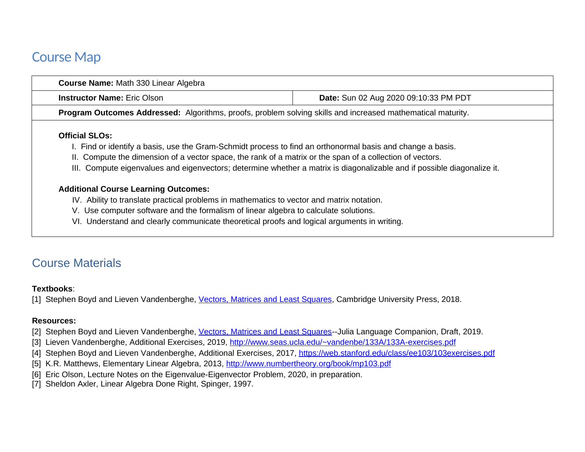## Course Map

| Course Name: Math 330 Linear Algebra                                                                                                     |                                                                                                                         |  |  |  |  |
|------------------------------------------------------------------------------------------------------------------------------------------|-------------------------------------------------------------------------------------------------------------------------|--|--|--|--|
| <b>Instructor Name: Eric Olson</b><br>Date: Sun 02 Aug 2020 09:10:33 PM PDT                                                              |                                                                                                                         |  |  |  |  |
| Program Outcomes Addressed: Algorithms, proofs, problem solving skills and increased mathematical maturity.                              |                                                                                                                         |  |  |  |  |
| <b>Official SLOs:</b>                                                                                                                    |                                                                                                                         |  |  |  |  |
| II. Compute the dimension of a vector space, the rank of a matrix or the span of a collection of vectors.                                | I. Find or identify a basis, use the Gram-Schmidt process to find an orthonormal basis and change a basis.              |  |  |  |  |
|                                                                                                                                          | III. Compute eigenvalues and eigenvectors; determine whether a matrix is diagonalizable and if possible diagonalize it. |  |  |  |  |
|                                                                                                                                          |                                                                                                                         |  |  |  |  |
| <b>Additional Course Learning Outcomes:</b><br>IV. Ability to translate practical problems in mathematics to vector and matrix notation. |                                                                                                                         |  |  |  |  |

VI. Understand and clearly communicate theoretical proofs and logical arguments in writing.

## Course Materials

## **Textbooks**:

[1] Stephen Boyd and Lieven Vandenberghe, [Vectors, Matrices and Least Squares](http://vmls-book.stanford.edu/), Cambridge University Press, 2018.

## **Resources:**

- [2] Stephen Boyd and Lieven Vandenberghe, [Vectors, Matrices and Least Squares](http://vmls-book.stanford.edu/vmls-julia-companion.pdf)--Julia Language Companion, Draft, 2019.
- [3] Lieven Vandenberghe, Additional Exercises, 2019,<http://www.seas.ucla.edu/~vandenbe/133A/133A-exercises.pdf>
- [4] Stephen Boyd and Lieven Vandenberghe, Additional Exercises, 2017, <https://web.stanford.edu/class/ee103/103exercises.pdf>
- [5] K.R. Matthews, Elementary Linear Algebra, 2013,<http://www.numbertheory.org/book/mp103.pdf>
- [6] Eric Olson, Lecture Notes on the Eigenvalue-Eigenvector Problem, 2020, in preparation.
- [7] Sheldon Axler, Linear Algebra Done Right, Spinger, 1997.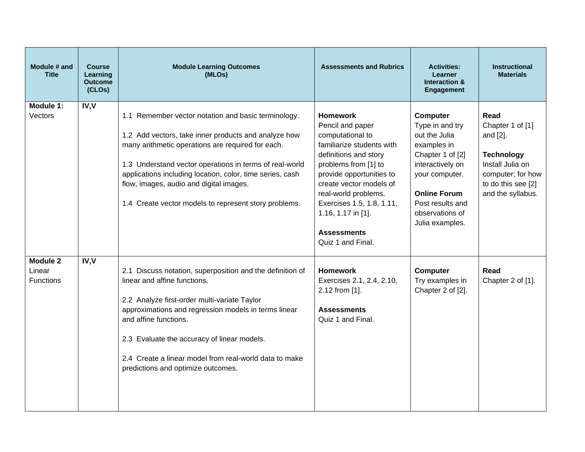| Module # and<br><b>Title</b>                  | <b>Course</b><br>Learning<br><b>Outcome</b><br>(CLOs) | <b>Module Learning Outcomes</b><br>(MLOs)                                                                                                                                                                                                                                                                                                                                                    | <b>Assessments and Rubrics</b>                                                                                                                                                                                                                                                                                     | <b>Activities:</b><br><b>Learner</b><br>Interaction &<br><b>Engagement</b>                                                                                                                             | <b>Instructional</b><br><b>Materials</b>                                                                                                      |
|-----------------------------------------------|-------------------------------------------------------|----------------------------------------------------------------------------------------------------------------------------------------------------------------------------------------------------------------------------------------------------------------------------------------------------------------------------------------------------------------------------------------------|--------------------------------------------------------------------------------------------------------------------------------------------------------------------------------------------------------------------------------------------------------------------------------------------------------------------|--------------------------------------------------------------------------------------------------------------------------------------------------------------------------------------------------------|-----------------------------------------------------------------------------------------------------------------------------------------------|
| Module 1:<br>Vectors                          | IV, V                                                 | 1.1 Remember vector notation and basic terminology.<br>1.2 Add vectors, take inner products and analyze how<br>many arithmetic operations are required for each.<br>1.3 Understand vector operations in terms of real-world<br>applications including location, color, time series, cash<br>flow, images, audio and digital images.<br>1.4 Create vector models to represent story problems. | <b>Homework</b><br>Pencil and paper<br>computational to<br>familiarize students with<br>definitions and story<br>problems from [1] to<br>provide opportunities to<br>create vector models of<br>real-world problems.<br>Exercises 1.5, 1.8, 1.11,<br>1.16, 1.17 in [1].<br><b>Assessments</b><br>Quiz 1 and Final. | Computer<br>Type in and try<br>out the Julia<br>examples in<br>Chapter 1 of [2]<br>interactively on<br>your computer.<br><b>Online Forum</b><br>Post results and<br>observations of<br>Julia examples. | Read<br>Chapter 1 of [1]<br>and [2].<br><b>Technology</b><br>Install Julia on<br>computer; for how<br>to do this see [2]<br>and the syllabus. |
| <b>Module 2</b><br>Linear<br><b>Functions</b> | IV, V                                                 | 2.1 Discuss notation, superposition and the definition of<br>linear and affine functions.<br>2.2 Analyze first-order multi-variate Taylor<br>approximations and regression models in terms linear<br>and affine functions.<br>2.3 Evaluate the accuracy of linear models.<br>2.4 Create a linear model from real-world data to make<br>predictions and optimize outcomes.                    | <b>Homework</b><br>Exercises 2.1, 2.4, 2.10,<br>2.12 from [1].<br><b>Assessments</b><br>Quiz 1 and Final.                                                                                                                                                                                                          | Computer<br>Try examples in<br>Chapter 2 of [2].                                                                                                                                                       | Read<br>Chapter 2 of [1].                                                                                                                     |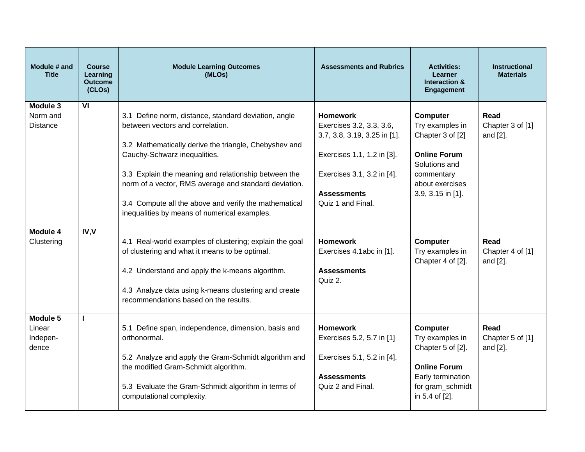| Module # and<br><b>Title</b>            | <b>Course</b><br>Learning<br><b>Outcome</b><br>(CLOs) | <b>Module Learning Outcomes</b><br>(MLOs)                                                                                                                                                                                                                                                                                                                                                                   | <b>Assessments and Rubrics</b>                                                                                                                                                     | <b>Activities:</b><br>Learner<br>Interaction &<br><b>Engagement</b>                                                                           | <b>Instructional</b><br><b>Materials</b> |
|-----------------------------------------|-------------------------------------------------------|-------------------------------------------------------------------------------------------------------------------------------------------------------------------------------------------------------------------------------------------------------------------------------------------------------------------------------------------------------------------------------------------------------------|------------------------------------------------------------------------------------------------------------------------------------------------------------------------------------|-----------------------------------------------------------------------------------------------------------------------------------------------|------------------------------------------|
| Module 3<br>Norm and<br><b>Distance</b> | VI                                                    | 3.1 Define norm, distance, standard deviation, angle<br>between vectors and correlation.<br>3.2 Mathematically derive the triangle, Chebyshev and<br>Cauchy-Schwarz inequalities.<br>3.3 Explain the meaning and relationship between the<br>norm of a vector, RMS average and standard deviation.<br>3.4 Compute all the above and verify the mathematical<br>inequalities by means of numerical examples. | <b>Homework</b><br>Exercises 3.2, 3.3, 3.6,<br>3.7, 3.8, 3.19, 3.25 in [1].<br>Exercises 1.1, 1.2 in [3].<br>Exercises 3.1, 3.2 in [4].<br><b>Assessments</b><br>Quiz 1 and Final. | Computer<br>Try examples in<br>Chapter 3 of [2]<br><b>Online Forum</b><br>Solutions and<br>commentary<br>about exercises<br>3.9, 3.15 in [1]. | Read<br>Chapter 3 of [1]<br>and [2].     |
| Module 4<br>Clustering                  | IV, V                                                 | 4.1 Real-world examples of clustering; explain the goal<br>of clustering and what it means to be optimal.<br>4.2 Understand and apply the k-means algorithm.<br>4.3 Analyze data using k-means clustering and create<br>recommendations based on the results.                                                                                                                                               | <b>Homework</b><br>Exercises 4.1abc in [1].<br><b>Assessments</b><br>Quiz 2.                                                                                                       | Computer<br>Try examples in<br>Chapter 4 of [2].                                                                                              | Read<br>Chapter 4 of [1]<br>and [2].     |
| Module 5<br>Linear<br>Indepen-<br>dence | п                                                     | 5.1 Define span, independence, dimension, basis and<br>orthonormal.<br>5.2 Analyze and apply the Gram-Schmidt algorithm and<br>the modified Gram-Schmidt algorithm.<br>5.3 Evaluate the Gram-Schmidt algorithm in terms of<br>computational complexity.                                                                                                                                                     | <b>Homework</b><br>Exercises 5.2, 5.7 in [1]<br>Exercises 5.1, 5.2 in [4].<br><b>Assessments</b><br>Quiz 2 and Final.                                                              | Computer<br>Try examples in<br>Chapter 5 of [2].<br><b>Online Forum</b><br>Early termination<br>for gram schmidt<br>in 5.4 of [2].            | Read<br>Chapter 5 of [1]<br>and [2].     |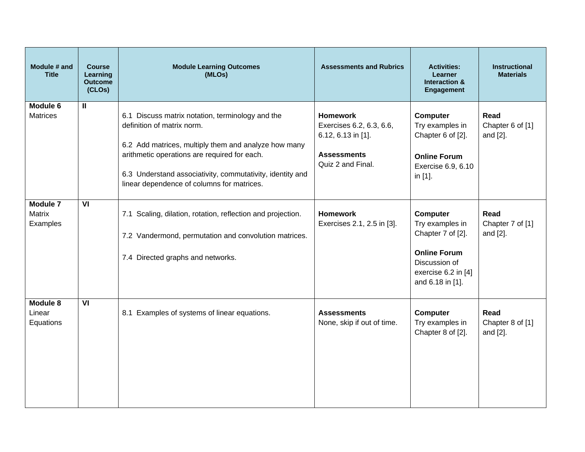| Module # and<br><b>Title</b>                 | <b>Course</b><br>Learning<br><b>Outcome</b><br>(CLOs) | <b>Module Learning Outcomes</b><br>(MLOs)                                                                                                                                                                                                                                                         | <b>Assessments and Rubrics</b>                                                                               | <b>Activities:</b><br><b>Learner</b><br>Interaction &<br>Engagement                                                                 | <b>Instructional</b><br><b>Materials</b> |
|----------------------------------------------|-------------------------------------------------------|---------------------------------------------------------------------------------------------------------------------------------------------------------------------------------------------------------------------------------------------------------------------------------------------------|--------------------------------------------------------------------------------------------------------------|-------------------------------------------------------------------------------------------------------------------------------------|------------------------------------------|
| Module 6<br><b>Matrices</b>                  | $\mathbf{H}$                                          | 6.1 Discuss matrix notation, terminology and the<br>definition of matrix norm.<br>6.2 Add matrices, multiply them and analyze how many<br>arithmetic operations are required for each.<br>6.3 Understand associativity, commutativity, identity and<br>linear dependence of columns for matrices. | <b>Homework</b><br>Exercises 6.2, 6.3, 6.6,<br>6.12, 6.13 in [1].<br><b>Assessments</b><br>Quiz 2 and Final. | Computer<br>Try examples in<br>Chapter 6 of [2].<br><b>Online Forum</b><br>Exercise 6.9, 6.10<br>in [1].                            | Read<br>Chapter 6 of [1]<br>and [2].     |
| <b>Module 7</b><br><b>Matrix</b><br>Examples | VI                                                    | 7.1 Scaling, dilation, rotation, reflection and projection.<br>7.2 Vandermond, permutation and convolution matrices.<br>7.4 Directed graphs and networks.                                                                                                                                         | <b>Homework</b><br>Exercises 2.1, 2.5 in [3].                                                                | Computer<br>Try examples in<br>Chapter 7 of [2].<br><b>Online Forum</b><br>Discussion of<br>exercise 6.2 in [4]<br>and 6.18 in [1]. | Read<br>Chapter 7 of [1]<br>and [2].     |
| <b>Module 8</b><br>Linear<br>Equations       | VI                                                    | 8.1 Examples of systems of linear equations.                                                                                                                                                                                                                                                      | <b>Assessments</b><br>None, skip if out of time.                                                             | Computer<br>Try examples in<br>Chapter 8 of [2].                                                                                    | Read<br>Chapter 8 of [1]<br>and [2].     |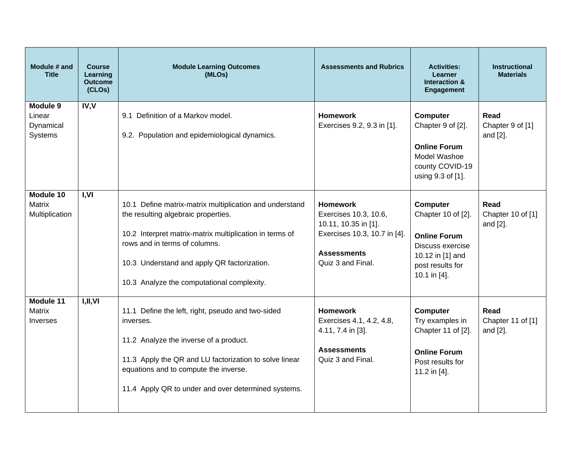| Module # and<br><b>Title</b>                  | <b>Course</b><br>Learning<br><b>Outcome</b><br>(CLOs) | <b>Module Learning Outcomes</b><br>(MLOs)                                                                                                                                                                                                                                               | <b>Assessments and Rubrics</b>                                                                                                              | <b>Activities:</b><br><b>Learner</b><br><b>Interaction &amp;</b><br>Engagement                                                    | <b>Instructional</b><br><b>Materials</b> |
|-----------------------------------------------|-------------------------------------------------------|-----------------------------------------------------------------------------------------------------------------------------------------------------------------------------------------------------------------------------------------------------------------------------------------|---------------------------------------------------------------------------------------------------------------------------------------------|-----------------------------------------------------------------------------------------------------------------------------------|------------------------------------------|
| Module 9<br>Linear<br>Dynamical<br>Systems    | IV, V                                                 | 9.1 Definition of a Markov model.<br>9.2. Population and epidemiological dynamics.                                                                                                                                                                                                      | <b>Homework</b><br>Exercises 9.2, 9.3 in [1].                                                                                               | <b>Computer</b><br>Chapter 9 of [2].<br><b>Online Forum</b><br>Model Washoe<br>county COVID-19<br>using 9.3 of [1].               | Read<br>Chapter 9 of [1]<br>and [2].     |
| Module 10<br><b>Matrix</b><br>Multiplication  | I, VI                                                 | 10.1 Define matrix-matrix multiplication and understand<br>the resulting algebraic properties.<br>10.2 Interpret matrix-matrix multiplication in terms of<br>rows and in terms of columns.<br>10.3 Understand and apply QR factorization.<br>10.3 Analyze the computational complexity. | <b>Homework</b><br>Exercises 10.3, 10.6,<br>10.11, 10.35 in [1].<br>Exercises 10.3, 10.7 in [4].<br><b>Assessments</b><br>Quiz 3 and Final. | Computer<br>Chapter 10 of [2].<br><b>Online Forum</b><br>Discuss exercise<br>10.12 in [1] and<br>post results for<br>10.1 in [4]. | Read<br>Chapter 10 of [1]<br>and [2].    |
| Module 11<br><b>Matrix</b><br><b>Inverses</b> | I,II,VI                                               | 11.1 Define the left, right, pseudo and two-sided<br>inverses.<br>11.2 Analyze the inverse of a product.<br>11.3 Apply the QR and LU factorization to solve linear<br>equations and to compute the inverse.<br>11.4 Apply QR to under and over determined systems.                      | <b>Homework</b><br>Exercises 4.1, 4.2, 4.8,<br>4.11, 7.4 in [3].<br><b>Assessments</b><br>Quiz 3 and Final.                                 | Computer<br>Try examples in<br>Chapter 11 of [2].<br><b>Online Forum</b><br>Post results for<br>11.2 in [4].                      | Read<br>Chapter 11 of [1]<br>and [2].    |